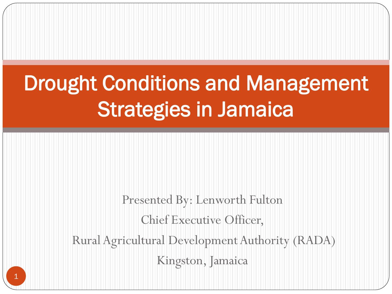### Drought Conditions and Management Strategies in Jamaica

Presented By: Lenworth Fulton Chief Executive Officer, Rural Agricultural Development Authority (RADA) Kingston, Jamaica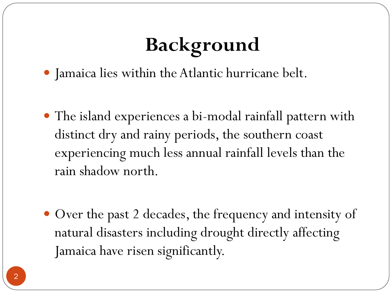# **Background**

- Jamaica lies within the Atlantic hurricane belt.
- The island experiences a bi-modal rainfall pattern with distinct dry and rainy periods, the southern coast experiencing much less annual rainfall levels than the rain shadow north.
- Over the past 2 decades, the frequency and intensity of natural disasters including drought directly affecting Jamaica have risen significantly.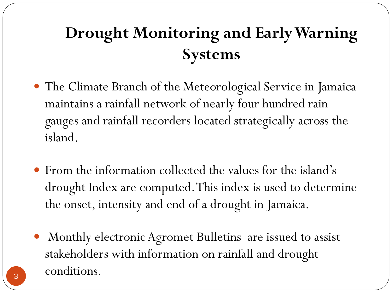#### **Drought Monitoring and Early Warning Systems**

÷.

- The Climate Branch of the Meteorological Service in Jamaica maintains a rainfall network of nearly four hundred rain gauges and rainfall recorders located strategically across the island.
- From the information collected the values for the island's drought Index are computed. This index is used to determine the onset, intensity and end of a drought in Jamaica.
- Monthly electronic Agromet Bulletins are issued to assist stakeholders with information on rainfall and drought 3 conditions.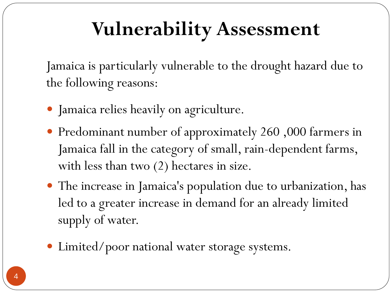### **Vulnerability Assessment**

Jamaica is particularly vulnerable to the drought hazard due to the following reasons:

- Jamaica relies heavily on agriculture.
- Predominant number of approximately 260 ,000 farmers in Jamaica fall in the category of small, rain-dependent farms, with less than two  $(2)$  hectares in size.
- The increase in Jamaica's population due to urbanization, has led to a greater increase in demand for an already limited supply of water.
- Limited/poor national water storage systems.